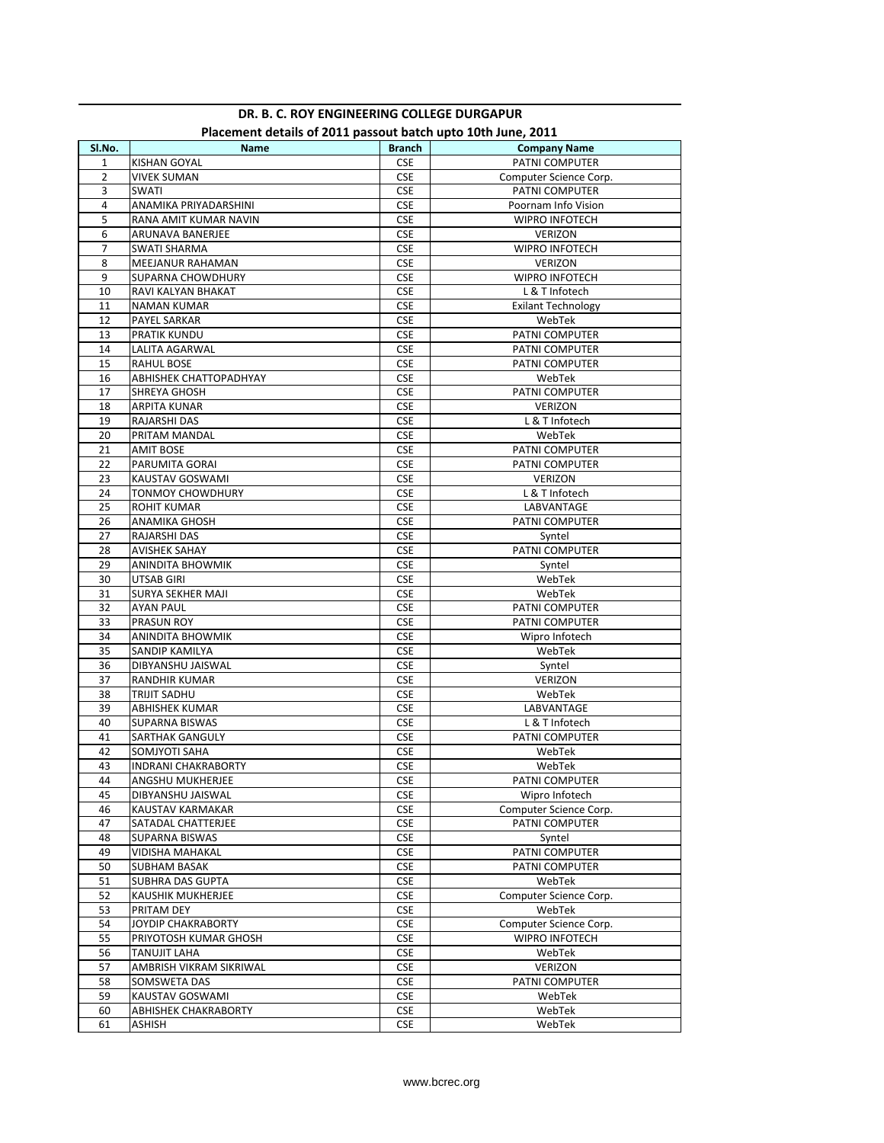|                | Placement details of 2011 passout battle upto 10th June, 2011 |                       |                           |
|----------------|---------------------------------------------------------------|-----------------------|---------------------------|
| SI.No.         | Name                                                          | <b>Branch</b>         | <b>Company Name</b>       |
| $\mathbf{1}$   | <b>KISHAN GOYAL</b>                                           | <b>CSE</b>            | PATNI COMPUTER            |
| $\overline{2}$ | VIVEK SUMAN                                                   | <b>CSE</b>            | Computer Science Corp.    |
| 3              | SWATI                                                         | <b>CSE</b>            | PATNI COMPUTER            |
| 4              | ANAMIKA PRIYADARSHINI                                         | <b>CSE</b>            | Poornam Info Vision       |
| 5              | RANA AMIT KUMAR NAVIN                                         | <b>CSE</b>            | <b>WIPRO INFOTECH</b>     |
| 6              | ARUNAVA BANERJEE                                              | <b>CSE</b>            | <b>VERIZON</b>            |
| 7              | <b>SWATI SHARMA</b>                                           | <b>CSE</b>            | WIPRO INFOTECH            |
| 8              | MEEJANUR RAHAMAN                                              | <b>CSE</b>            | VERIZON                   |
| 9              | SUPARNA CHOWDHURY                                             | <b>CSE</b>            | <b>WIPRO INFOTECH</b>     |
| 10             | RAVI KALYAN BHAKAT                                            | <b>CSE</b>            | L & T Infotech            |
| 11             | <b>NAMAN KUMAR</b>                                            | <b>CSE</b>            | <b>Exilant Technology</b> |
| 12             | PAYEL SARKAR                                                  | <b>CSE</b>            | WebTek                    |
| 13             | PRATIK KUNDU                                                  | CSE                   | PATNI COMPUTER            |
| 14             | LALITA AGARWAL                                                | <b>CSE</b>            | PATNI COMPUTER            |
| 15             | <b>RAHUL BOSE</b>                                             | <b>CSE</b>            | PATNI COMPUTER            |
| 16             | ABHISHEK CHATTOPADHYAY                                        | CSE                   | WebTek                    |
| 17             | SHREYA GHOSH                                                  | <b>CSE</b>            | PATNI COMPUTER            |
| 18             | ARPITA KUNAR                                                  | <b>CSE</b>            | <b>VERIZON</b>            |
| 19             | <b>RAJARSHI DAS</b>                                           | <b>CSE</b>            | L & T Infotech            |
| 20             | PRITAM MANDAL                                                 | <b>CSE</b>            | WebTek                    |
| 21             | <b>AMIT BOSE</b>                                              | <b>CSE</b>            | PATNI COMPUTER            |
| 22             | PARUMITA GORAI                                                | <b>CSE</b>            | PATNI COMPUTER            |
| 23             | KAUSTAV GOSWAMI                                               | <b>CSE</b>            | <b>VERIZON</b>            |
| 24             | <b>TONMOY CHOWDHURY</b>                                       | <b>CSE</b>            | L & T Infotech            |
| 25             | <b>ROHIT KUMAR</b>                                            | <b>CSE</b>            | LABVANTAGE                |
| 26             | ANAMIKA GHOSH                                                 | <b>CSE</b>            | PATNI COMPUTER            |
| 27             | <b>RAJARSHI DAS</b>                                           | <b>CSE</b>            | Syntel                    |
| 28             | <b>AVISHEK SAHAY</b>                                          | <b>CSE</b>            | PATNI COMPUTER            |
| 29             | ANINDITA BHOWMIK                                              | <b>CSE</b>            | Syntel                    |
| 30             | UTSAB GIRI                                                    | <b>CSE</b>            | WebTek                    |
| 31             | SURYA SEKHER MAJI                                             | <b>CSE</b>            | WebTek                    |
| 32             | <b>AYAN PAUL</b>                                              | <b>CSE</b>            | PATNI COMPUTER            |
| 33             | PRASUN ROY                                                    | <b>CSE</b>            | PATNI COMPUTER            |
| 34             | ANINDITA BHOWMIK                                              | <b>CSE</b>            | Wipro Infotech            |
| 35             | SANDIP KAMILYA                                                | <b>CSE</b>            | WebTek                    |
| 36             | DIBYANSHU JAISWAL                                             | <b>CSE</b>            | Syntel                    |
| 37             | RANDHIR KUMAR                                                 | <b>CSE</b>            | VERIZON                   |
| 38             | <b>TRIJIT SADHU</b>                                           | <b>CSE</b>            | WebTek                    |
| 39             | <b>ABHISHEK KUMAR</b>                                         | <b>CSE</b>            | LABVANTAGE                |
| 40             | SUPARNA BISWAS                                                | <b>CSE</b>            | L & T Infotech            |
| 41             | <b>SARTHAK GANGULY</b>                                        | <b>CSE</b>            | PATNI COMPUTER            |
| 42             | SOMJYOTI SAHA                                                 | <b>CSE</b>            | WebTek                    |
| 43             | <b>INDRANI CHAKRABORTY</b>                                    | <b>CSE</b>            | WebTek                    |
| 44             | ANGSHU MUKHERJEE                                              | $\mathsf{CSE}\xspace$ | PATNI COMPUTER            |
| 45             | DIBYANSHU JAISWAL                                             | CSE                   | Wipro Infotech            |
| 46             |                                                               | CSE                   | Computer Science Corp.    |
|                | KAUSTAV KARMAKAR                                              |                       | PATNI COMPUTER            |
| 47             | SATADAL CHATTERJEE                                            | <b>CSE</b>            |                           |
| 48             | SUPARNA BISWAS                                                | CSE                   | Syntel                    |
| 49             | VIDISHA MAHAKAL                                               | CSE                   | PATNI COMPUTER            |
| 50             | SUBHAM BASAK                                                  | <b>CSE</b>            | PATNI COMPUTER            |
| 51             | SUBHRA DAS GUPTA                                              | CSE                   | WebTek                    |
| 52             | KAUSHIK MUKHERJEE                                             | CSE                   | Computer Science Corp.    |
| 53             | PRITAM DEY                                                    | <b>CSE</b>            | WebTek                    |
| 54             | JOYDIP CHAKRABORTY                                            | CSE                   | Computer Science Corp.    |
| 55             | PRIYOTOSH KUMAR GHOSH                                         | CSE                   | WIPRO INFOTECH            |
| 56             | TANUJIT LAHA                                                  | <b>CSE</b>            | WebTek                    |
| 57             | AMBRISH VIKRAM SIKRIWAL                                       | <b>CSE</b>            | VERIZON                   |
| 58             | SOMSWETA DAS                                                  | <b>CSE</b>            | PATNI COMPUTER            |
| 59             | KAUSTAV GOSWAMI                                               | <b>CSE</b>            | WebTek                    |
| 60             | ABHISHEK CHAKRABORTY                                          | CSE                   | WebTek                    |
| 61             | ASHISH                                                        | CSE                   | WebTek                    |

## **DR. B. C. ROY ENGINEERING COLLEGE DURGAPUR Placement details of 2011 passout batch upto 10th June, 2011**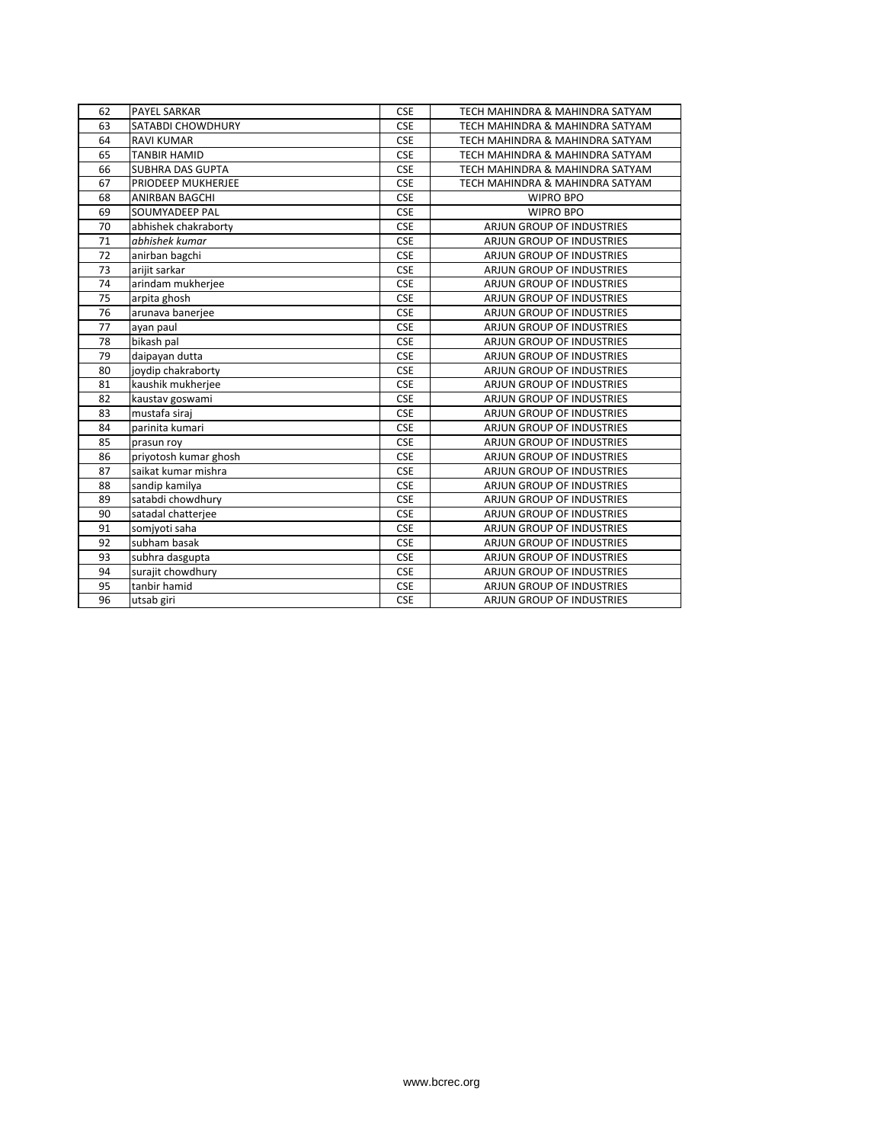| 62 | <b>PAYEL SARKAR</b>     | <b>CSE</b> | TECH MAHINDRA & MAHINDRA SATYAM  |
|----|-------------------------|------------|----------------------------------|
| 63 | SATABDI CHOWDHURY       | <b>CSE</b> | TECH MAHINDRA & MAHINDRA SATYAM  |
| 64 | <b>RAVI KUMAR</b>       | <b>CSE</b> | TECH MAHINDRA & MAHINDRA SATYAM  |
| 65 | <b>TANBIR HAMID</b>     | <b>CSE</b> | TECH MAHINDRA & MAHINDRA SATYAM  |
| 66 | <b>SUBHRA DAS GUPTA</b> | <b>CSE</b> | TECH MAHINDRA & MAHINDRA SATYAM  |
| 67 | PRIODEEP MUKHERJEE      | <b>CSE</b> | TECH MAHINDRA & MAHINDRA SATYAM  |
| 68 | <b>ANIRBAN BAGCHI</b>   | <b>CSE</b> | <b>WIPRO BPO</b>                 |
| 69 | SOUMYADEEP PAL          | <b>CSE</b> | <b>WIPRO BPO</b>                 |
| 70 | abhishek chakraborty    | <b>CSE</b> | ARJUN GROUP OF INDUSTRIES        |
| 71 | abhishek kumar          | <b>CSE</b> | <b>ARJUN GROUP OF INDUSTRIES</b> |
| 72 | anirban bagchi          | <b>CSE</b> | <b>ARJUN GROUP OF INDUSTRIES</b> |
| 73 | arijit sarkar           | <b>CSE</b> | <b>ARJUN GROUP OF INDUSTRIES</b> |
| 74 | arindam mukherjee       | <b>CSE</b> | <b>ARJUN GROUP OF INDUSTRIES</b> |
| 75 | arpita ghosh            | <b>CSE</b> | ARJUN GROUP OF INDUSTRIES        |
| 76 | arunava banerjee        | <b>CSE</b> | ARJUN GROUP OF INDUSTRIES        |
| 77 | ayan paul               | <b>CSE</b> | ARJUN GROUP OF INDUSTRIES        |
| 78 | bikash pal              | <b>CSE</b> | ARJUN GROUP OF INDUSTRIES        |
| 79 | daipayan dutta          | <b>CSE</b> | ARJUN GROUP OF INDUSTRIES        |
| 80 | joydip chakraborty      | <b>CSE</b> | <b>ARJUN GROUP OF INDUSTRIES</b> |
| 81 | kaushik mukherjee       | <b>CSE</b> | ARJUN GROUP OF INDUSTRIES        |
| 82 | kaustav goswami         | <b>CSE</b> | <b>ARJUN GROUP OF INDUSTRIES</b> |
| 83 | mustafa siraj           | <b>CSE</b> | ARJUN GROUP OF INDUSTRIES        |
| 84 | parinita kumari         | <b>CSE</b> | <b>ARJUN GROUP OF INDUSTRIES</b> |
| 85 | prasun roy              | <b>CSE</b> | ARJUN GROUP OF INDUSTRIES        |
| 86 | priyotosh kumar ghosh   | <b>CSE</b> | ARJUN GROUP OF INDUSTRIES        |
| 87 | saikat kumar mishra     | <b>CSE</b> | <b>ARJUN GROUP OF INDUSTRIES</b> |
| 88 | sandip kamilya          | <b>CSE</b> | ARJUN GROUP OF INDUSTRIES        |
| 89 | satabdi chowdhury       | <b>CSE</b> | <b>ARJUN GROUP OF INDUSTRIES</b> |
| 90 | satadal chatterjee      | <b>CSE</b> | ARJUN GROUP OF INDUSTRIES        |
| 91 | somjyoti saha           | <b>CSE</b> | ARJUN GROUP OF INDUSTRIES        |
| 92 | subham basak            | <b>CSE</b> | ARJUN GROUP OF INDUSTRIES        |
| 93 | subhra dasgupta         | <b>CSE</b> | ARJUN GROUP OF INDUSTRIES        |
| 94 | surajit chowdhury       | <b>CSE</b> | ARJUN GROUP OF INDUSTRIES        |
| 95 | tanbir hamid            | <b>CSE</b> | ARJUN GROUP OF INDUSTRIES        |
| 96 | utsab giri              | <b>CSE</b> | ARJUN GROUP OF INDUSTRIES        |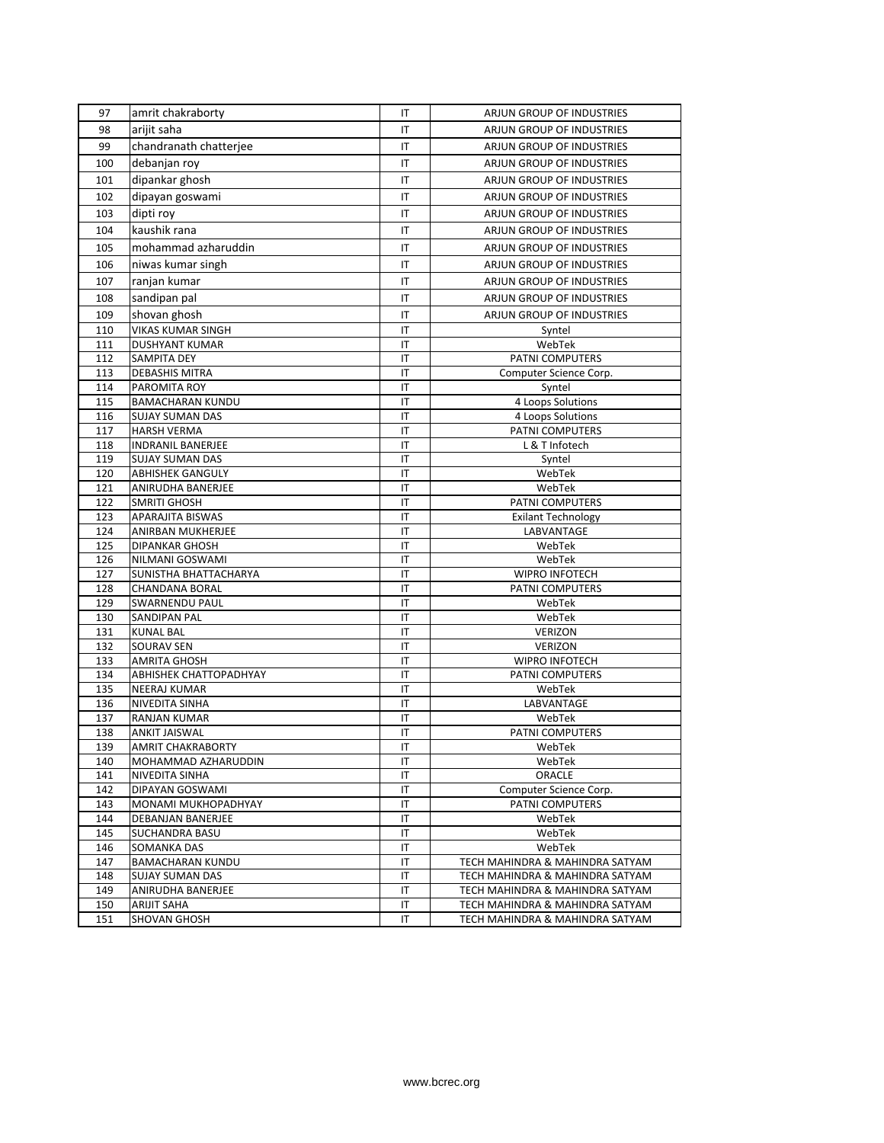| 97         | amrit chakraborty                 | IT                     | ARJUN GROUP OF INDUSTRIES        |
|------------|-----------------------------------|------------------------|----------------------------------|
| 98         | arijit saha                       | IT                     | ARJUN GROUP OF INDUSTRIES        |
| 99         | chandranath chatterjee            | IT                     | <b>ARJUN GROUP OF INDUSTRIES</b> |
| 100        | debanjan roy                      | IT                     | ARJUN GROUP OF INDUSTRIES        |
| 101        | dipankar ghosh                    | IT                     | ARJUN GROUP OF INDUSTRIES        |
|            |                                   |                        |                                  |
| 102        | dipayan goswami                   | IT                     | ARJUN GROUP OF INDUSTRIES        |
| 103        | dipti roy                         | IT                     | ARJUN GROUP OF INDUSTRIES        |
| 104        | kaushik rana                      | IT                     | ARJUN GROUP OF INDUSTRIES        |
| 105        | mohammad azharuddin               | IT                     | ARJUN GROUP OF INDUSTRIES        |
| 106        | niwas kumar singh                 | IT                     | ARJUN GROUP OF INDUSTRIES        |
| 107        | ranjan kumar                      | IT                     | ARJUN GROUP OF INDUSTRIES        |
| 108        | sandipan pal                      | IT                     | ARJUN GROUP OF INDUSTRIES        |
| 109        | shovan ghosh                      | IT                     | ARJUN GROUP OF INDUSTRIES        |
| 110        | VIKAS KUMAR SINGH                 | IT                     | Syntel                           |
| 111        | <b>DUSHYANT KUMAR</b>             | IT                     | WebTek                           |
| 112        | SAMPITA DEY                       | IT                     | PATNI COMPUTERS                  |
| 113        | <b>DEBASHIS MITRA</b>             | IT                     | Computer Science Corp.           |
| 114        | PAROMITA ROY                      | IT                     | Syntel                           |
| 115        | <b>BAMACHARAN KUNDU</b>           | IT                     | 4 Loops Solutions                |
| 116        | <b>SUJAY SUMAN DAS</b>            | IT                     | 4 Loops Solutions                |
| 117        | <b>HARSH VERMA</b>                | IT                     | <b>PATNI COMPUTERS</b>           |
| 118        | <b>INDRANIL BANERJEE</b>          | IT                     | L & T Infotech                   |
| 119        | <b>SUJAY SUMAN DAS</b>            | IT                     | Syntel                           |
| 120        | <b>ABHISHEK GANGULY</b>           | IT                     | WebTek                           |
| 121        | ANIRUDHA BANERJEE                 | IT                     | WebTek                           |
| 122        | <b>SMRITI GHOSH</b>               | IT                     | PATNI COMPUTERS                  |
| 123        | APARAJITA BISWAS                  | IT                     | <b>Exilant Technology</b>        |
| 124        | ANIRBAN MUKHERJEE                 | IT                     | LABVANTAGE                       |
| 125        | <b>DIPANKAR GHOSH</b>             | IT                     | WebTek                           |
| 126        | NILMANI GOSWAMI                   | IT                     | WebTek                           |
| 127        | SUNISTHA BHATTACHARYA             | $\mathsf{I}\mathsf{T}$ | WIPRO INFOTECH                   |
| 128        | <b>CHANDANA BORAL</b>             | IT                     | PATNI COMPUTERS                  |
| 129        | <b>SWARNENDU PAUL</b>             | IT                     | WebTek                           |
| 130        | <b>SANDIPAN PAL</b>               | $\mathsf{I}\mathsf{T}$ | WebTek                           |
| 131        | <b>KUNAL BAL</b>                  | IT                     | VERIZON                          |
| 132<br>133 | SOURAV SEN<br><b>AMRITA GHOSH</b> | $\mathsf{I}\mathsf{T}$ | <b>VERIZON</b><br>WIPRO INFOTECH |
| 134        | ABHISHEK CHATTOPADHYAY            | IT<br>IT               | PATNI COMPUTERS                  |
| 135        | <b>NEERAJ KUMAR</b>               | $\mathsf{I}\mathsf{T}$ | WebTek                           |
| 136        | NIVEDITA SINHA                    | IT                     | LABVANTAGE                       |
| 137        | RANJAN KUMAR                      | IT                     | WebTek                           |
| 138        | <b>ANKIT JAISWAL</b>              | IT                     | PATNI COMPUTERS                  |
| 139        | <b>AMRIT CHAKRABORTY</b>          | $\mathsf{I}\mathsf{T}$ | WebTek                           |
| 140        | MOHAMMAD AZHARUDDIN               | IT                     | WebTek                           |
| 141        | NIVEDITA SINHA                    | IT                     | ORACLE                           |
| 142        | DIPAYAN GOSWAMI                   | IT                     | Computer Science Corp.           |
| 143        | MONAMI MUKHOPADHYAY               | IT                     | PATNI COMPUTERS                  |
| 144        | DEBANJAN BANERJEE                 | IT                     | WebTek                           |
| 145        | <b>SUCHANDRA BASU</b>             | IT                     | WebTek                           |
| 146        | SOMANKA DAS                       | IT                     | WebTek                           |
| 147        | <b>BAMACHARAN KUNDU</b>           | IT                     | TECH MAHINDRA & MAHINDRA SATYAM  |
| 148        | <b>SUJAY SUMAN DAS</b>            | IT                     | TECH MAHINDRA & MAHINDRA SATYAM  |
| 149        | ANIRUDHA BANERJEE                 | IT                     | TECH MAHINDRA & MAHINDRA SATYAM  |
| 150        | ARIJIT SAHA                       | IT                     | TECH MAHINDRA & MAHINDRA SATYAM  |
| 151        | SHOVAN GHOSH                      | IT                     | TECH MAHINDRA & MAHINDRA SATYAM  |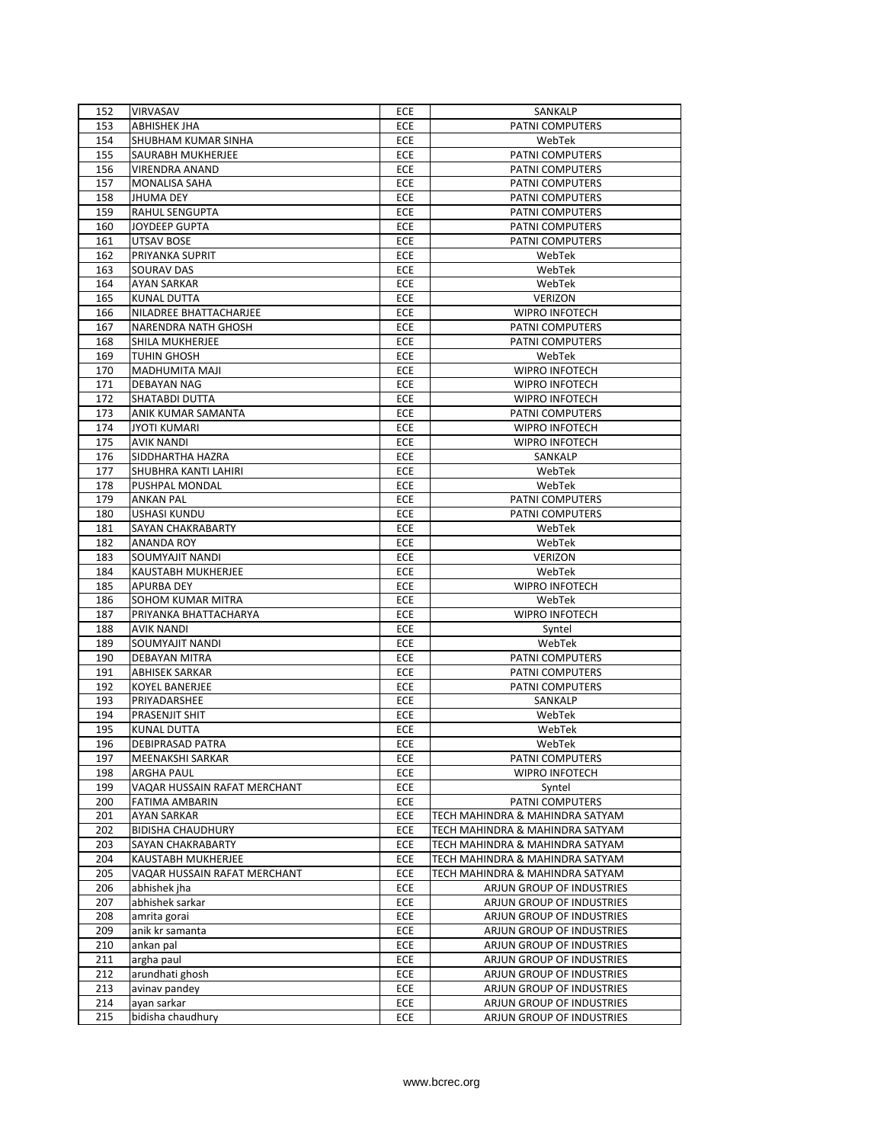| 152 | VIRVASAV                     | ECE        | SANKALP                         |
|-----|------------------------------|------------|---------------------------------|
| 153 | ABHISHEK JHA                 | ECE        | PATNI COMPUTERS                 |
| 154 | SHUBHAM KUMAR SINHA          | ECE        | WebTek                          |
| 155 | SAURABH MUKHERJEE            | <b>ECE</b> | PATNI COMPUTERS                 |
| 156 | <b>VIRENDRA ANAND</b>        | ECE        | PATNI COMPUTERS                 |
| 157 | MONALISA SAHA                | ECE        | PATNI COMPUTERS                 |
| 158 | <b>JHUMA DEY</b>             | ECE        | <b>PATNI COMPUTERS</b>          |
| 159 | RAHUL SENGUPTA               | ECE        | PATNI COMPUTERS                 |
| 160 | <b>JOYDEEP GUPTA</b>         | ECE        | PATNI COMPUTERS                 |
| 161 | UTSAV BOSE                   | <b>ECE</b> | PATNI COMPUTERS                 |
| 162 | PRIYANKA SUPRIT              | ECE        | WebTek                          |
| 163 | SOURAV DAS                   | ECE        | WebTek                          |
| 164 | <b>AYAN SARKAR</b>           | ECE        | WebTek                          |
| 165 | <b>KUNAL DUTTA</b>           | ECE        | <b>VERIZON</b>                  |
| 166 | NILADREE BHATTACHARJEE       | ECE        | <b>WIPRO INFOTECH</b>           |
| 167 | NARENDRA NATH GHOSH          | ECE        | PATNI COMPUTERS                 |
| 168 | SHILA MUKHERJEE              | ECE        | PATNI COMPUTERS                 |
| 169 | TUHIN GHOSH                  | ECE        | WebTek                          |
| 170 | MADHUMITA MAJI               | ECE        | <b>WIPRO INFOTECH</b>           |
| 171 | DEBAYAN NAG                  | ECE        | <b>WIPRO INFOTECH</b>           |
| 172 | SHATABDI DUTTA               | ECE        | <b>WIPRO INFOTECH</b>           |
| 173 | ANIK KUMAR SAMANTA           | ECE        | PATNI COMPUTERS                 |
| 174 | <b>JYOTI KUMARI</b>          | ECE        | <b>WIPRO INFOTECH</b>           |
| 175 | AVIK NANDI                   | ECE        | <b>WIPRO INFOTECH</b>           |
| 176 | SIDDHARTHA HAZRA             | ECE        | SANKALP                         |
| 177 | SHUBHRA KANTI LAHIRI         | ECE        | WebTek                          |
| 178 | PUSHPAL MONDAL               | ECE        | WebTek                          |
| 179 | <b>ANKAN PAL</b>             | ECE        | PATNI COMPUTERS                 |
| 180 | <b>USHASI KUNDU</b>          | ECE        | PATNI COMPUTERS                 |
| 181 | SAYAN CHAKRABARTY            | ECE        | WebTek                          |
| 182 | ANANDA ROY                   | ECE        | WebTek                          |
| 183 | SOUMYAJIT NANDI              | ECE        | VERIZON                         |
| 184 | KAUSTABH MUKHERJEE           | ECE        | WebTek                          |
| 185 | APURBA DEY                   | ECE        | <b>WIPRO INFOTECH</b>           |
| 186 | SOHOM KUMAR MITRA            | ECE        | WebTek                          |
| 187 | PRIYANKA BHATTACHARYA        | ECE        | <b>WIPRO INFOTECH</b>           |
| 188 | AVIK NANDI                   | ECE        | Syntel                          |
| 189 | SOUMYAJIT NANDI              | ECE        | WebTek                          |
| 190 | DEBAYAN MITRA                | ECE        | PATNI COMPUTERS                 |
| 191 | <b>ABHISEK SARKAR</b>        | <b>ECE</b> | PATNI COMPUTERS                 |
| 192 | KOYEL BANERJEE               | ECE        | PATNI COMPUTERS                 |
| 193 | PRIYADARSHEE                 | ECE        | SANKALP                         |
| 194 | PRASENJIT SHIT               | ECE        | WebTek                          |
| 195 | KUNAL DUTTA                  | ECE        | WebTek                          |
| 196 | DEBIPRASAD PATRA             | ECE        | WebTek                          |
| 197 | MEENAKSHI SARKAR             | ECE        | PATNI COMPUTERS                 |
| 198 | <b>ARGHA PAUL</b>            | ECE        | <b>WIPRO INFOTECH</b>           |
| 199 | VAQAR HUSSAIN RAFAT MERCHANT | ECE        | Syntel                          |
| 200 | FATIMA AMBARIN               | ECE        | PATNI COMPUTERS                 |
| 201 | <b>AYAN SARKAR</b>           | ECE        | TECH MAHINDRA & MAHINDRA SATYAM |
| 202 | <b>BIDISHA CHAUDHURY</b>     | ECE        | TECH MAHINDRA & MAHINDRA SATYAM |
| 203 | SAYAN CHAKRABARTY            | ECE        | TECH MAHINDRA & MAHINDRA SATYAM |
| 204 | KAUSTABH MUKHERJEE           | ECE        | TECH MAHINDRA & MAHINDRA SATYAM |
| 205 | VAQAR HUSSAIN RAFAT MERCHANT | ECE        | TECH MAHINDRA & MAHINDRA SATYAM |
| 206 | abhishek jha                 | ECE        | ARJUN GROUP OF INDUSTRIES       |
| 207 | abhishek sarkar              | ECE        | ARJUN GROUP OF INDUSTRIES       |
| 208 | amrita gorai                 | ECE        | ARJUN GROUP OF INDUSTRIES       |
| 209 | anik kr samanta              | ECE        | ARJUN GROUP OF INDUSTRIES       |
| 210 | ankan pal                    | ECE        | ARJUN GROUP OF INDUSTRIES       |
| 211 | argha paul                   | ECE        | ARJUN GROUP OF INDUSTRIES       |
| 212 | arundhati ghosh              | ECE        | ARJUN GROUP OF INDUSTRIES       |
| 213 | avinav pandey                | ECE        | ARJUN GROUP OF INDUSTRIES       |
| 214 | ayan sarkar                  | ECE        | ARJUN GROUP OF INDUSTRIES       |
| 215 | bidisha chaudhury            | ECE        | ARJUN GROUP OF INDUSTRIES       |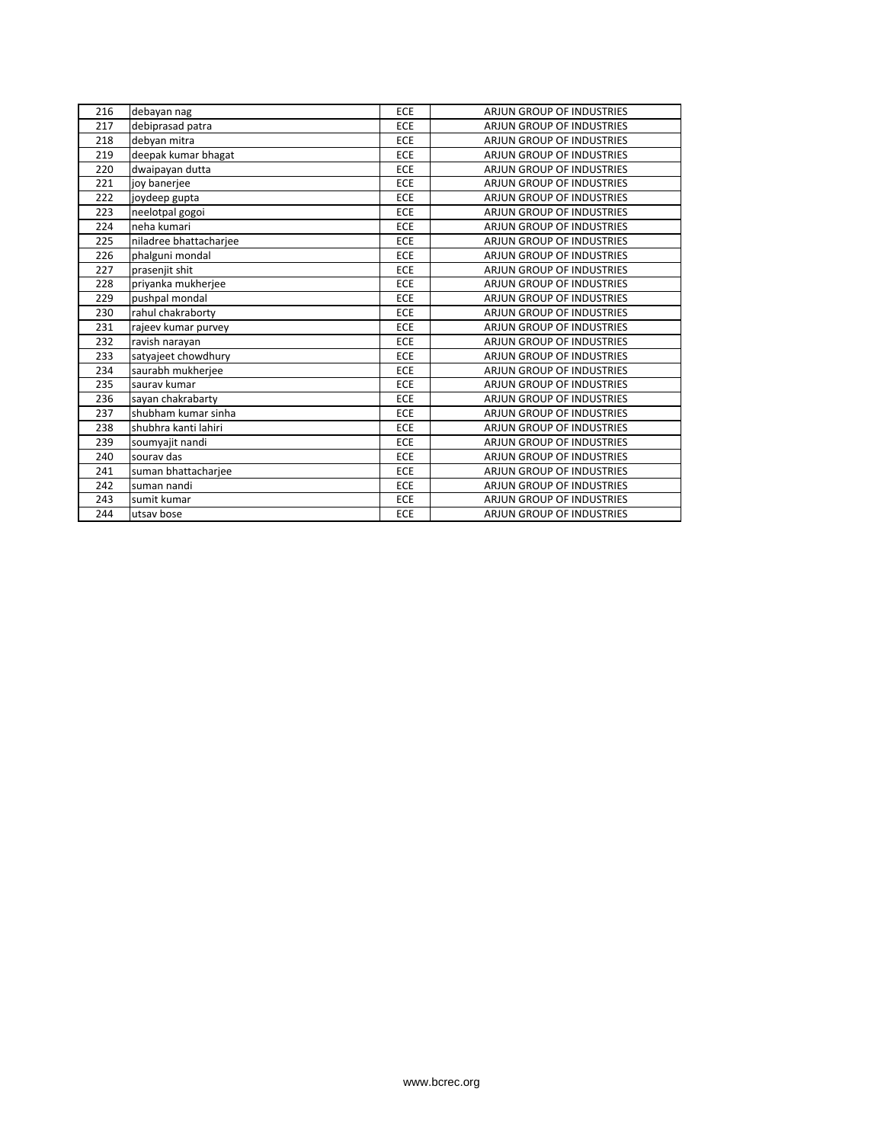| 216 | debayan nag            | ECE        | ARJUN GROUP OF INDUSTRIES        |
|-----|------------------------|------------|----------------------------------|
| 217 | debiprasad patra       | ECE        | <b>ARJUN GROUP OF INDUSTRIES</b> |
| 218 | debyan mitra           | ECE        | <b>ARJUN GROUP OF INDUSTRIES</b> |
| 219 | deepak kumar bhagat    | ECE        | <b>ARJUN GROUP OF INDUSTRIES</b> |
| 220 | dwaipayan dutta        | ECE        | <b>ARJUN GROUP OF INDUSTRIES</b> |
| 221 | joy banerjee           | ECE        | <b>ARJUN GROUP OF INDUSTRIES</b> |
| 222 | joydeep gupta          | <b>ECE</b> | <b>ARJUN GROUP OF INDUSTRIES</b> |
| 223 | neelotpal gogoi        | ECE        | ARJUN GROUP OF INDUSTRIES        |
| 224 | neha kumari            | ECE        | <b>ARJUN GROUP OF INDUSTRIES</b> |
| 225 | niladree bhattacharjee | ECE        | <b>ARJUN GROUP OF INDUSTRIES</b> |
| 226 | phalguni mondal        | ECE        | <b>ARJUN GROUP OF INDUSTRIES</b> |
| 227 | prasenjit shit         | ECE        | <b>ARJUN GROUP OF INDUSTRIES</b> |
| 228 | priyanka mukherjee     | ECE        | <b>ARJUN GROUP OF INDUSTRIES</b> |
| 229 | pushpal mondal         | ECE        | <b>ARJUN GROUP OF INDUSTRIES</b> |
| 230 | rahul chakraborty      | ECE        | <b>ARJUN GROUP OF INDUSTRIES</b> |
| 231 | rajeev kumar purvey    | ECE        | <b>ARJUN GROUP OF INDUSTRIES</b> |
| 232 | ravish narayan         | ECE        | <b>ARJUN GROUP OF INDUSTRIES</b> |
| 233 | satyajeet chowdhury    | ECE        | <b>ARJUN GROUP OF INDUSTRIES</b> |
| 234 | saurabh mukherjee      | ECE        | <b>ARJUN GROUP OF INDUSTRIES</b> |
| 235 | saurav kumar           | ECE        | <b>ARJUN GROUP OF INDUSTRIES</b> |
| 236 | sayan chakrabarty      | ECE        | ARJUN GROUP OF INDUSTRIES        |
| 237 | shubham kumar sinha    | ECE        | <b>ARJUN GROUP OF INDUSTRIES</b> |
| 238 | shubhra kanti lahiri   | ECE        | <b>ARJUN GROUP OF INDUSTRIES</b> |
| 239 | soumyajit nandi        | ECE        | <b>ARJUN GROUP OF INDUSTRIES</b> |
| 240 | sourav das             | ECE        | ARJUN GROUP OF INDUSTRIES        |
| 241 | suman bhattacharjee    | ECE        | <b>ARJUN GROUP OF INDUSTRIES</b> |
| 242 | suman nandi            | ECE        | <b>ARJUN GROUP OF INDUSTRIES</b> |
| 243 | sumit kumar            | ECE        | <b>ARJUN GROUP OF INDUSTRIES</b> |
| 244 | utsav bose             | ECE        | <b>ARJUN GROUP OF INDUSTRIES</b> |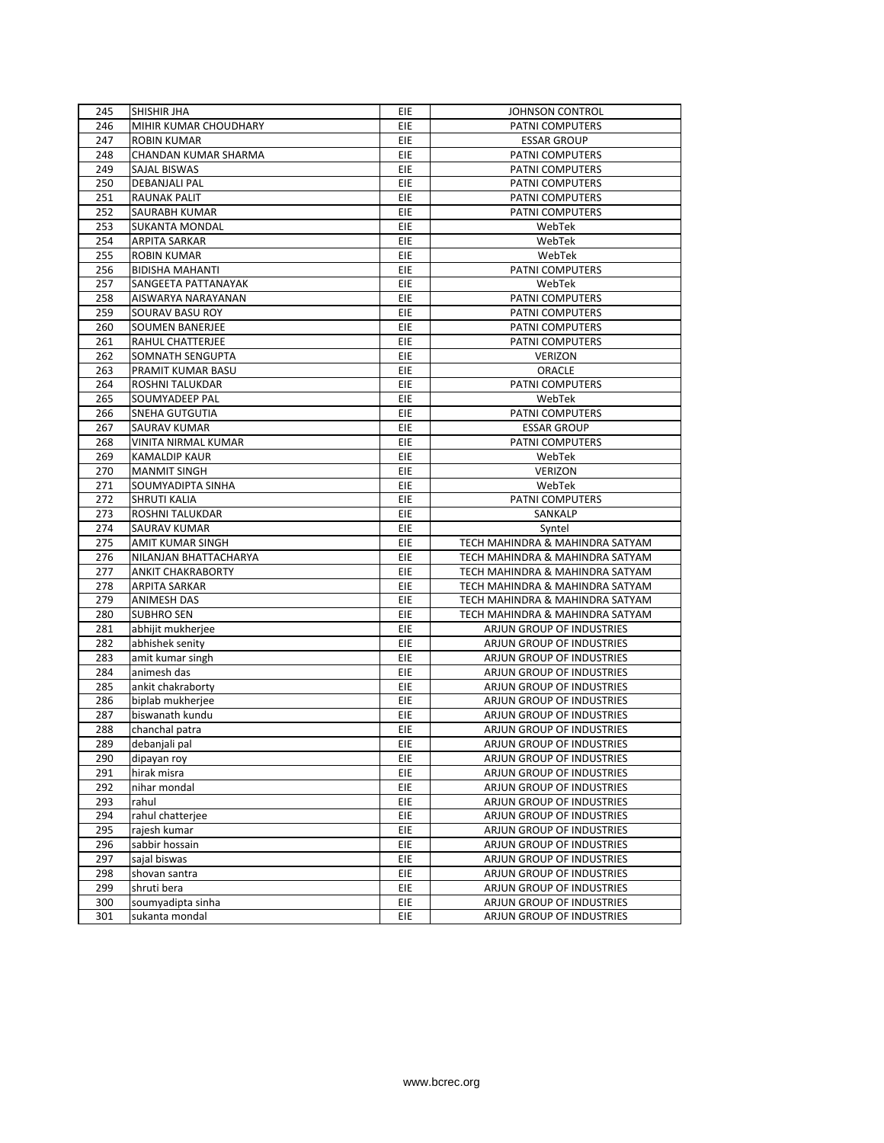| 245 | <b>SHISHIR JHA</b>          | <b>EIE</b> | <b>JOHNSON CONTROL</b>          |
|-----|-----------------------------|------------|---------------------------------|
| 246 | MIHIR KUMAR CHOUDHARY       | <b>EIE</b> | PATNI COMPUTERS                 |
| 247 | <b>ROBIN KUMAR</b>          | EIE        | <b>ESSAR GROUP</b>              |
| 248 | <b>CHANDAN KUMAR SHARMA</b> | EIE        | PATNI COMPUTERS                 |
| 249 | <b>SAJAL BISWAS</b>         | EIE        | PATNI COMPUTERS                 |
| 250 | DEBANJALI PAL               | EIE        | PATNI COMPUTERS                 |
| 251 | <b>RAUNAK PALIT</b>         | EIE        | PATNI COMPUTERS                 |
| 252 | SAURABH KUMAR               | EIE        | PATNI COMPUTERS                 |
| 253 | <b>SUKANTA MONDAL</b>       | EIE        | WebTek                          |
| 254 | ARPITA SARKAR               | EIE        | WebTek                          |
| 255 | <b>ROBIN KUMAR</b>          | EIE        | WebTek                          |
| 256 | <b>BIDISHA MAHANTI</b>      | EIE        | PATNI COMPUTERS                 |
| 257 | SANGEETA PATTANAYAK         | EIE        | WebTek                          |
| 258 | AISWARYA NARAYANAN          | EIE        | PATNI COMPUTERS                 |
| 259 | SOURAV BASU ROY             | EIE        | PATNI COMPUTERS                 |
| 260 | <b>SOUMEN BANERJEE</b>      | EIE        | PATNI COMPUTERS                 |
| 261 | RAHUL CHATTERJEE            | EIE        | PATNI COMPUTERS                 |
| 262 | SOMNATH SENGUPTA            | EIE        | <b>VERIZON</b>                  |
| 263 | PRAMIT KUMAR BASU           | <b>EIE</b> | ORACLE                          |
| 264 | ROSHNI TALUKDAR             | EIE        | PATNI COMPUTERS                 |
| 265 | SOUMYADEEP PAL              | <b>EIE</b> | WebTek                          |
| 266 | <b>SNEHA GUTGUTIA</b>       | EIE        | PATNI COMPUTERS                 |
| 267 | SAURAV KUMAR                | EIE        | <b>ESSAR GROUP</b>              |
| 268 | VINITA NIRMAL KUMAR         | EIE        | PATNI COMPUTERS                 |
| 269 | KAMALDIP KAUR               | EIE        | WebTek                          |
| 270 | <b>MANMIT SINGH</b>         | EIE        | <b>VERIZON</b>                  |
| 271 | SOUMYADIPTA SINHA           | <b>EIE</b> | WebTek                          |
| 272 | <b>SHRUTI KALIA</b>         | EIE        | PATNI COMPUTERS                 |
| 273 | ROSHNI TALUKDAR             | EIE        | SANKALP                         |
| 274 | SAURAV KUMAR                | EIE        | Syntel                          |
| 275 | <b>AMIT KUMAR SINGH</b>     | EIE        | TECH MAHINDRA & MAHINDRA SATYAM |
| 276 | NILANJAN BHATTACHARYA       | EIE        | TECH MAHINDRA & MAHINDRA SATYAM |
| 277 | <b>ANKIT CHAKRABORTY</b>    | <b>EIE</b> | TECH MAHINDRA & MAHINDRA SATYAM |
| 278 | <b>ARPITA SARKAR</b>        | EIE        | TECH MAHINDRA & MAHINDRA SATYAM |
| 279 | <b>ANIMESH DAS</b>          | EIE        | TECH MAHINDRA & MAHINDRA SATYAM |
| 280 | <b>SUBHRO SEN</b>           | <b>EIE</b> | TECH MAHINDRA & MAHINDRA SATYAM |
| 281 | abhijit mukherjee           | EIE        | ARJUN GROUP OF INDUSTRIES       |
| 282 | abhishek senity             | <b>EIE</b> | ARJUN GROUP OF INDUSTRIES       |
| 283 | amit kumar singh            | <b>EIE</b> | ARJUN GROUP OF INDUSTRIES       |
| 284 | animesh das                 | EIE        | ARJUN GROUP OF INDUSTRIES       |
| 285 | ankit chakraborty           | <b>EIE</b> | ARJUN GROUP OF INDUSTRIES       |
| 286 | biplab mukherjee            | EIE        | ARJUN GROUP OF INDUSTRIES       |
| 287 | biswanath kundu             | EIE        | ARJUN GROUP OF INDUSTRIES       |
| 288 | chanchal patra              | EIE        | ARJUN GROUP OF INDUSTRIES       |
| 289 | debanjali pal               | EIE        | ARJUN GROUP OF INDUSTRIES       |
| 290 | dipayan roy                 | EIE        | ARJUN GROUP OF INDUSTRIES       |
| 291 | hirak misra                 | EIE        | ARJUN GROUP OF INDUSTRIES       |
| 292 | nihar mondal                | EIE        | ARJUN GROUP OF INDUSTRIES       |
| 293 | rahul                       | EIE        | ARJUN GROUP OF INDUSTRIES       |
| 294 | rahul chatterjee            | EIE        | ARJUN GROUP OF INDUSTRIES       |
| 295 | rajesh kumar                | EIE        | ARJUN GROUP OF INDUSTRIES       |
| 296 |                             |            | ARJUN GROUP OF INDUSTRIES       |
| 297 | sabbir hossain              | EIE        | ARJUN GROUP OF INDUSTRIES       |
| 298 | sajal biswas                | EIE<br>EIE | ARJUN GROUP OF INDUSTRIES       |
|     | shovan santra               |            |                                 |
| 299 | shruti bera                 | EIE        | ARJUN GROUP OF INDUSTRIES       |
| 300 | soumyadipta sinha           | EIE        | ARJUN GROUP OF INDUSTRIES       |
| 301 | sukanta mondal              | EIE        | ARJUN GROUP OF INDUSTRIES       |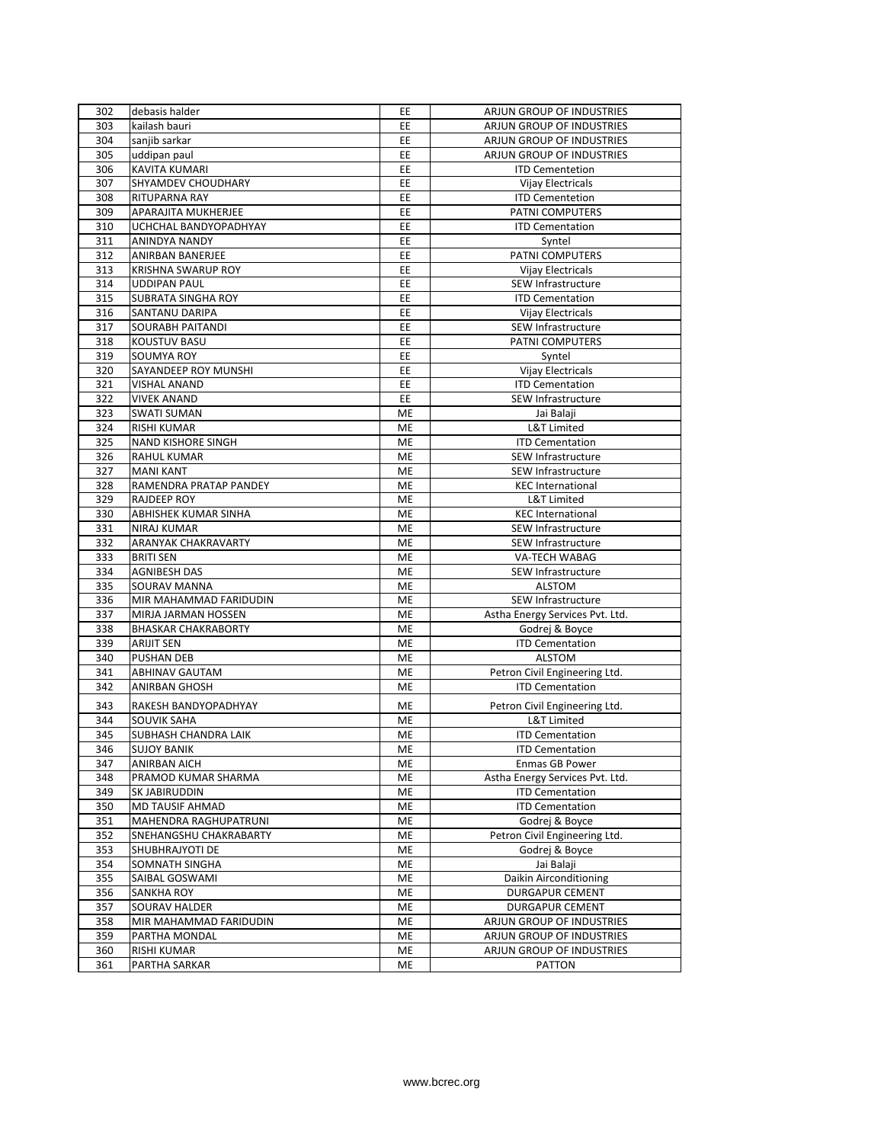| 302        | debasis halder             | EE | ARJUN GROUP OF INDUSTRIES       |
|------------|----------------------------|----|---------------------------------|
| 303        | kailash bauri              | EE | ARJUN GROUP OF INDUSTRIES       |
| 304        | sanjib sarkar              | EE | ARJUN GROUP OF INDUSTRIES       |
| 305        | uddipan paul               | EE | ARJUN GROUP OF INDUSTRIES       |
| 306        | <b>KAVITA KUMARI</b>       | EE | <b>ITD Cementetion</b>          |
| 307        | SHYAMDEV CHOUDHARY         | EE | Vijay Electricals               |
| 308        | RITUPARNA RAY              | EE | <b>ITD Cementetion</b>          |
| 309        | <b>APARAJITA MUKHERJEE</b> | EE | PATNI COMPUTERS                 |
| 310        | UCHCHAL BANDYOPADHYAY      | EE | <b>ITD Cementation</b>          |
| 311        | <b>ANINDYA NANDY</b>       | EE | Syntel                          |
| 312        | <b>ANIRBAN BANERJEE</b>    | EE | PATNI COMPUTERS                 |
| 313        | <b>KRISHNA SWARUP ROY</b>  | EE | Vijay Electricals               |
| 314        | <b>UDDIPAN PAUL</b>        | EE | SEW Infrastructure              |
| 315        | <b>SUBRATA SINGHA ROY</b>  | EE | <b>ITD Cementation</b>          |
| 316        | SANTANU DARIPA             | EE | Vijay Electricals               |
| 317        | <b>SOURABH PAITANDI</b>    | EE | SEW Infrastructure              |
| 318        | <b>KOUSTUV BASU</b>        | EE | PATNI COMPUTERS                 |
| 319        | SOUMYA ROY                 | EE | Syntel                          |
| 320        | SAYANDEEP ROY MUNSHI       | EE | Vijay Electricals               |
| 321        | <b>VISHAL ANAND</b>        | EE | <b>ITD Cementation</b>          |
| 322        | <b>VIVEK ANAND</b>         | EE | SEW Infrastructure              |
| 323        | <b>SWATI SUMAN</b>         | ME | Jai Balaji                      |
| 324        | <b>RISHI KUMAR</b>         | ME | L&T Limited                     |
| 325        | <b>NAND KISHORE SINGH</b>  |    |                                 |
|            | <b>RAHUL KUMAR</b>         | ME | <b>ITD Cementation</b>          |
| 326<br>327 | <b>MANI KANT</b>           | ME | SEW Infrastructure              |
|            |                            | ME | SEW Infrastructure              |
| 328        | RAMENDRA PRATAP PANDEY     | ME | <b>KEC International</b>        |
| 329        | <b>RAJDEEP ROY</b>         | ME | L&T Limited                     |
| 330        | ABHISHEK KUMAR SINHA       | ME | <b>KEC International</b>        |
| 331        | <b>NIRAJ KUMAR</b>         | ME | SEW Infrastructure              |
| 332        | <b>ARANYAK CHAKRAVARTY</b> | ME | SEW Infrastructure              |
| 333        | <b>BRITI SEN</b>           | ME | <b>VA-TECH WABAG</b>            |
| 334        | <b>AGNIBESH DAS</b>        | ME | SEW Infrastructure              |
| 335        | SOURAV MANNA               | ME | <b>ALSTOM</b>                   |
| 336        | MIR MAHAMMAD FARIDUDIN     | ME | SEW Infrastructure              |
| 337        | MIRJA JARMAN HOSSEN        | ME | Astha Energy Services Pvt. Ltd. |
| 338        | <b>BHASKAR CHAKRABORTY</b> | ME | Godrej & Boyce                  |
| 339        | <b>ARIJIT SEN</b>          | ME | <b>ITD Cementation</b>          |
| 340        | <b>PUSHAN DEB</b>          | ME | <b>ALSTOM</b>                   |
| 341        | <b>ABHINAV GAUTAM</b>      | ME | Petron Civil Engineering Ltd.   |
| 342        | ANIRBAN GHOSH              | ME | <b>ITD Cementation</b>          |
| 343        | RAKESH BANDYOPADHYAY       | ME | Petron Civil Engineering Ltd.   |
| 344        | <b>SOUVIK SAHA</b>         | ME | L&T Limited                     |
| 345        | SUBHASH CHANDRA LAIK       | ME | <b>ITD Cementation</b>          |
| 346        | <b>SUJOY BANIK</b>         | ME | <b>ITD Cementation</b>          |
| 347        | <b>ANIRBAN AICH</b>        | ME | Enmas GB Power                  |
| 348        | PRAMOD KUMAR SHARMA        | ME | Astha Energy Services Pvt. Ltd. |
| 349        | SK JABIRUDDIN              | ME | <b>ITD Cementation</b>          |
| 350        | MD TAUSIF AHMAD            | ME | <b>ITD Cementation</b>          |
| 351        | MAHENDRA RAGHUPATRUNI      | ME | Godrej & Boyce                  |
| 352        | SNEHANGSHU CHAKRABARTY     | ME | Petron Civil Engineering Ltd.   |
| 353        | SHUBHRAJYOTI DE            | ME | Godrej & Boyce                  |
| 354        | <b>SOMNATH SINGHA</b>      | ME | Jai Balaji                      |
| 355        | SAIBAL GOSWAMI             | ME | Daikin Airconditioning          |
| 356        | SANKHA ROY                 | ME | DURGAPUR CEMENT                 |
| 357        | <b>SOURAV HALDER</b>       | ME | <b>DURGAPUR CEMENT</b>          |
| 358        | MIR MAHAMMAD FARIDUDIN     | ME | ARJUN GROUP OF INDUSTRIES       |
| 359        | PARTHA MONDAL              | ME | ARJUN GROUP OF INDUSTRIES       |
| 360        | <b>RISHI KUMAR</b>         | ME | ARJUN GROUP OF INDUSTRIES       |
|            |                            |    |                                 |
| 361        | PARTHA SARKAR              | ME | <b>PATTON</b>                   |